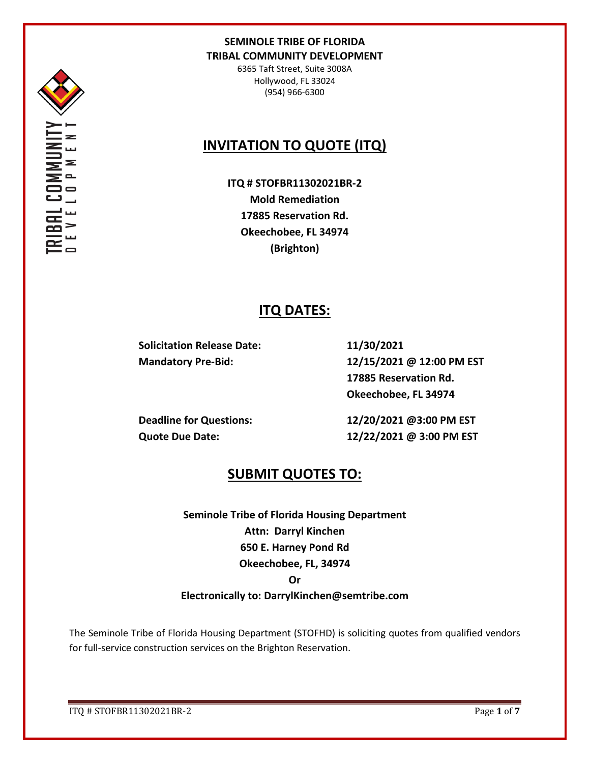

6365 Taft Street, Suite 3008A Hollywood, FL 33024 (954) 966-6300

# **INVITATION TO QUOTE (ITQ)**

**ITQ # STOFBR11302021BR-2 Mold Remediation 17885 Reservation Rd. Okeechobee, FL 34974 (Brighton)**

## **ITQ DATES:**

**Solicitation Release Date: 11/30/2021**

**Mandatory Pre-Bid: 12/15/2021 @ 12:00 PM EST 17885 Reservation Rd. Okeechobee, FL 34974**

**Deadline for Questions: 12/20/2021 @3:00 PM EST Quote Due Date: 12/22/2021 @ 3:00 PM EST**

## **SUBMIT QUOTES TO:**

**Seminole Tribe of Florida Housing Department Attn: Darryl Kinchen 650 E. Harney Pond Rd Okeechobee, FL, 34974**

#### **Or**

## **Electronically to: DarrylKinchen@semtribe.com**

The Seminole Tribe of Florida Housing Department (STOFHD) is soliciting quotes from qualified vendors for full-service construction services on the Brighton Reservation.

ITQ # STOFBR11302021BR-2 Page **1** of **7**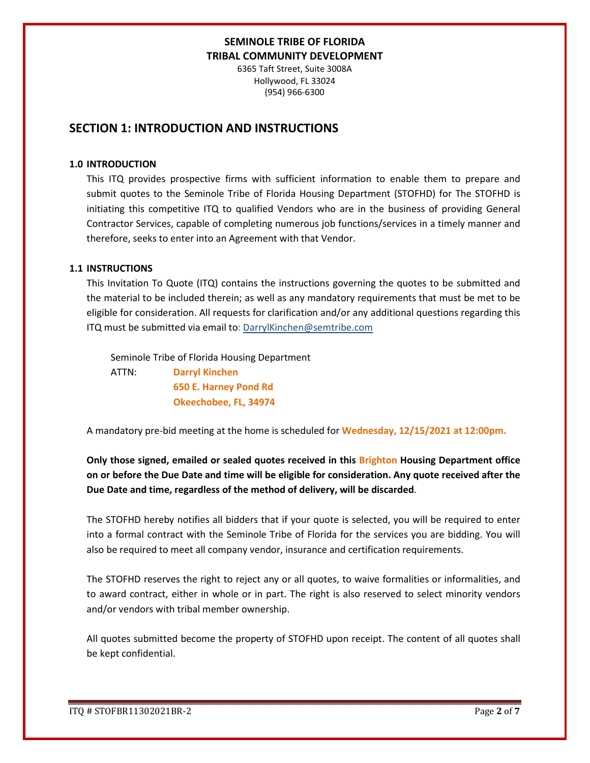6365 Taft Street, Suite 3008A Hollywood, FL 33024 (954) 966-6300

## **SECTION 1: INTRODUCTION AND INSTRUCTIONS**

#### **1.0 INTRODUCTION**

This ITQ provides prospective firms with sufficient information to enable them to prepare and submit quotes to the Seminole Tribe of Florida Housing Department (STOFHD) for The STOFHD is initiating this competitive ITQ to qualified Vendors who are in the business of providing General Contractor Services, capable of completing numerous job functions/services in a timely manner and therefore, seeks to enter into an Agreement with that Vendor.

#### **1.1 INSTRUCTIONS**

This Invitation To Quote (ITQ) contains the instructions governing the quotes to be submitted and the material to be included therein; as well as any mandatory requirements that must be met to be eligible for consideration. All requests for clarification and/or any additional questions regarding this ITQ must be submitted via email to: DarrylKinchen@semtribe.com

 Seminole Tribe of Florida Housing Department ATTN: **Darryl Kinchen**

 **650 E. Harney Pond Rd Okeechobee, FL, 34974**

A mandatory pre-bid meeting at the home is scheduled for **Wednesday, 12/15/2021 at 12:00pm.**

**Only those signed, emailed or sealed quotes received in this Brighton Housing Department office on or before the Due Date and time will be eligible for consideration. Any quote received after the Due Date and time, regardless of the method of delivery, will be discarded**.

The STOFHD hereby notifies all bidders that if your quote is selected, you will be required to enter into a formal contract with the Seminole Tribe of Florida for the services you are bidding. You will also be required to meet all company vendor, insurance and certification requirements.

The STOFHD reserves the right to reject any or all quotes, to waive formalities or informalities, and to award contract, either in whole or in part. The right is also reserved to select minority vendors and/or vendors with tribal member ownership.

All quotes submitted become the property of STOFHD upon receipt. The content of all quotes shall be kept confidential.

ITQ # STOFBR11302021BR-2 Page **2** of **7**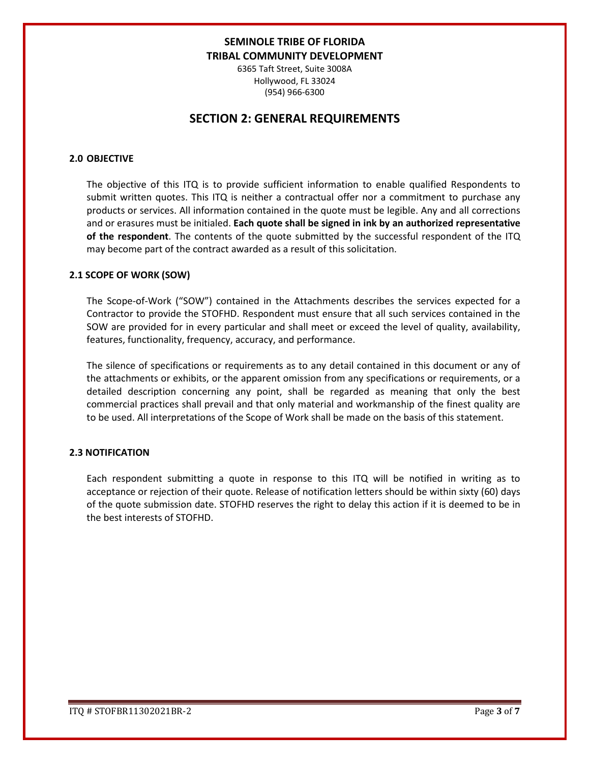6365 Taft Street, Suite 3008A Hollywood, FL 33024 (954) 966-6300

## **SECTION 2: GENERAL REQUIREMENTS**

#### **2.0 OBJECTIVE**

The objective of this ITQ is to provide sufficient information to enable qualified Respondents to submit written quotes. This ITQ is neither a contractual offer nor a commitment to purchase any products or services. All information contained in the quote must be legible. Any and all corrections and or erasures must be initialed. **Each quote shall be signed in ink by an authorized representative of the respondent**. The contents of the quote submitted by the successful respondent of the ITQ may become part of the contract awarded as a result of this solicitation.

#### **2.1 SCOPE OF WORK (SOW)**

The Scope-of-Work ("SOW") contained in the Attachments describes the services expected for a Contractor to provide the STOFHD. Respondent must ensure that all such services contained in the SOW are provided for in every particular and shall meet or exceed the level of quality, availability, features, functionality, frequency, accuracy, and performance.

The silence of specifications or requirements as to any detail contained in this document or any of the attachments or exhibits, or the apparent omission from any specifications or requirements, or a detailed description concerning any point, shall be regarded as meaning that only the best commercial practices shall prevail and that only material and workmanship of the finest quality are to be used. All interpretations of the Scope of Work shall be made on the basis of this statement.

#### **2.3 NOTIFICATION**

Each respondent submitting a quote in response to this ITQ will be notified in writing as to acceptance or rejection of their quote. Release of notification letters should be within sixty (60) days of the quote submission date. STOFHD reserves the right to delay this action if it is deemed to be in the best interests of STOFHD.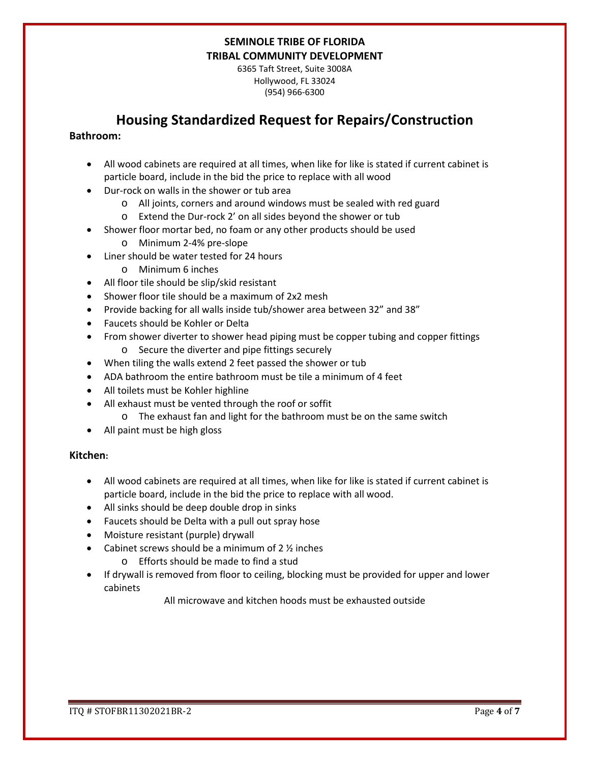6365 Taft Street, Suite 3008A Hollywood, FL 33024 (954) 966-6300

## **Housing Standardized Request for Repairs/Construction**

#### **Bathroom:**

- All wood cabinets are required at all times, when like for like is stated if current cabinet is particle board, include in the bid the price to replace with all wood
- Dur-rock on walls in the shower or tub area
	- o All joints, corners and around windows must be sealed with red guard
	- o Extend the Dur-rock 2' on all sides beyond the shower or tub
- Shower floor mortar bed, no foam or any other products should be used
	- o Minimum 2-4% pre-slope
- Liner should be water tested for 24 hours
	- o Minimum 6 inches
- All floor tile should be slip/skid resistant
- Shower floor tile should be a maximum of 2x2 mesh
- Provide backing for all walls inside tub/shower area between 32" and 38"
- Faucets should be Kohler or Delta
- From shower diverter to shower head piping must be copper tubing and copper fittings o Secure the diverter and pipe fittings securely
- When tiling the walls extend 2 feet passed the shower or tub
- ADA bathroom the entire bathroom must be tile a minimum of 4 feet
- All toilets must be Kohler highline
- All exhaust must be vented through the roof or soffit
	- o The exhaust fan and light for the bathroom must be on the same switch
- All paint must be high gloss

#### **Kitchen:**

- All wood cabinets are required at all times, when like for like is stated if current cabinet is particle board, include in the bid the price to replace with all wood.
- All sinks should be deep double drop in sinks
- Faucets should be Delta with a pull out spray hose
- Moisture resistant (purple) drywall
- Cabinet screws should be a minimum of  $2 \frac{1}{2}$  inches
	- o Efforts should be made to find a stud
- If drywall is removed from floor to ceiling, blocking must be provided for upper and lower cabinets

All microwave and kitchen hoods must be exhausted outside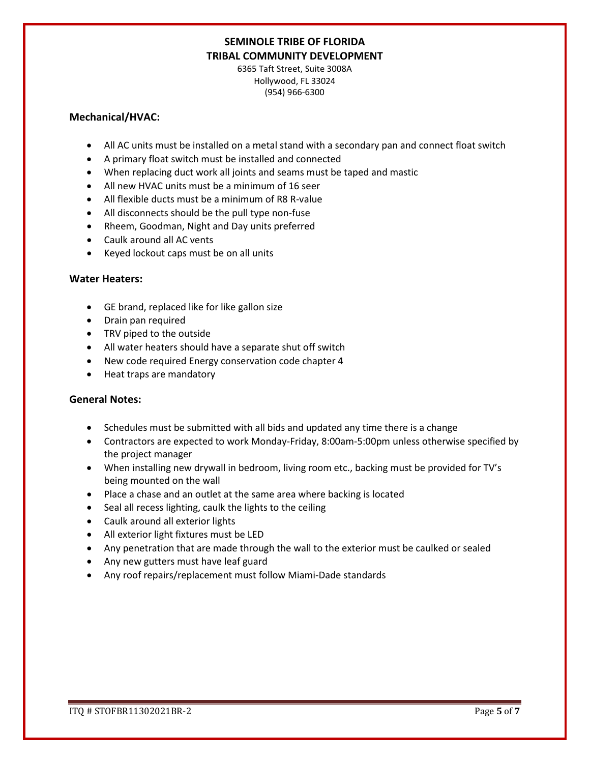6365 Taft Street, Suite 3008A Hollywood, FL 33024 (954) 966-6300

#### **Mechanical/HVAC:**

- All AC units must be installed on a metal stand with a secondary pan and connect float switch
- A primary float switch must be installed and connected
- When replacing duct work all joints and seams must be taped and mastic
- All new HVAC units must be a minimum of 16 seer
- All flexible ducts must be a minimum of R8 R-value
- All disconnects should be the pull type non-fuse
- Rheem, Goodman, Night and Day units preferred
- Caulk around all AC vents
- Keyed lockout caps must be on all units

#### **Water Heaters:**

- GE brand, replaced like for like gallon size
- Drain pan required
- TRV piped to the outside
- All water heaters should have a separate shut off switch
- New code required Energy conservation code chapter 4
- Heat traps are mandatory

#### **General Notes:**

- Schedules must be submitted with all bids and updated any time there is a change
- Contractors are expected to work Monday-Friday, 8:00am-5:00pm unless otherwise specified by the project manager
- When installing new drywall in bedroom, living room etc., backing must be provided for TV's being mounted on the wall
- Place a chase and an outlet at the same area where backing is located
- Seal all recess lighting, caulk the lights to the ceiling
- Caulk around all exterior lights
- All exterior light fixtures must be LED
- Any penetration that are made through the wall to the exterior must be caulked or sealed
- Any new gutters must have leaf guard
- Any roof repairs/replacement must follow Miami-Dade standards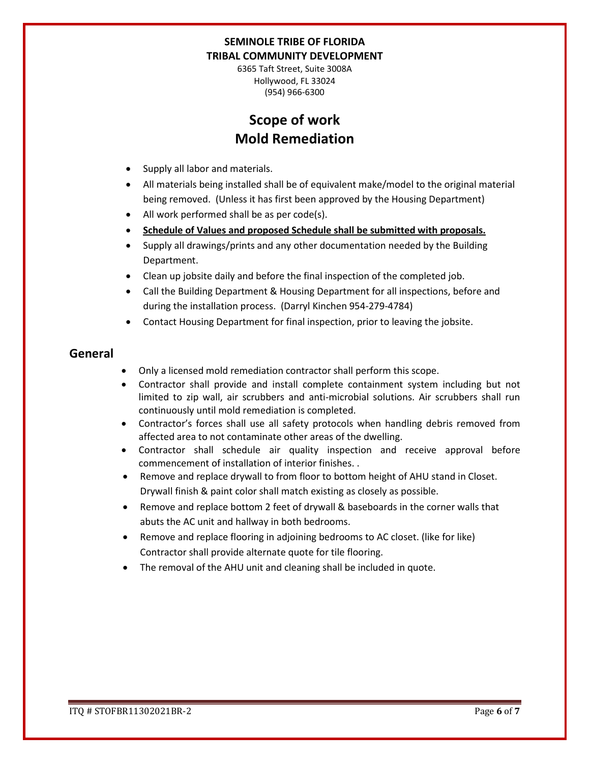6365 Taft Street, Suite 3008A Hollywood, FL 33024 (954) 966-6300

# **Scope of work Mold Remediation**

- Supply all labor and materials.
- All materials being installed shall be of equivalent make/model to the original material being removed. (Unless it has first been approved by the Housing Department)
- All work performed shall be as per code(s).
- **Schedule of Values and proposed Schedule shall be submitted with proposals.**
- Supply all drawings/prints and any other documentation needed by the Building Department.
- Clean up jobsite daily and before the final inspection of the completed job.
- Call the Building Department & Housing Department for all inspections, before and during the installation process. (Darryl Kinchen 954-279-4784)
- Contact Housing Department for final inspection, prior to leaving the jobsite.

## **General**

- Only a licensed mold remediation contractor shall perform this scope.
- Contractor shall provide and install complete containment system including but not limited to zip wall, air scrubbers and anti-microbial solutions. Air scrubbers shall run continuously until mold remediation is completed.
- Contractor's forces shall use all safety protocols when handling debris removed from affected area to not contaminate other areas of the dwelling.
- Contractor shall schedule air quality inspection and receive approval before commencement of installation of interior finishes. .
- Remove and replace drywall to from floor to bottom height of AHU stand in Closet. Drywall finish & paint color shall match existing as closely as possible.
- Remove and replace bottom 2 feet of drywall & baseboards in the corner walls that abuts the AC unit and hallway in both bedrooms.
- Remove and replace flooring in adjoining bedrooms to AC closet. (like for like) Contractor shall provide alternate quote for tile flooring.
- The removal of the AHU unit and cleaning shall be included in quote.